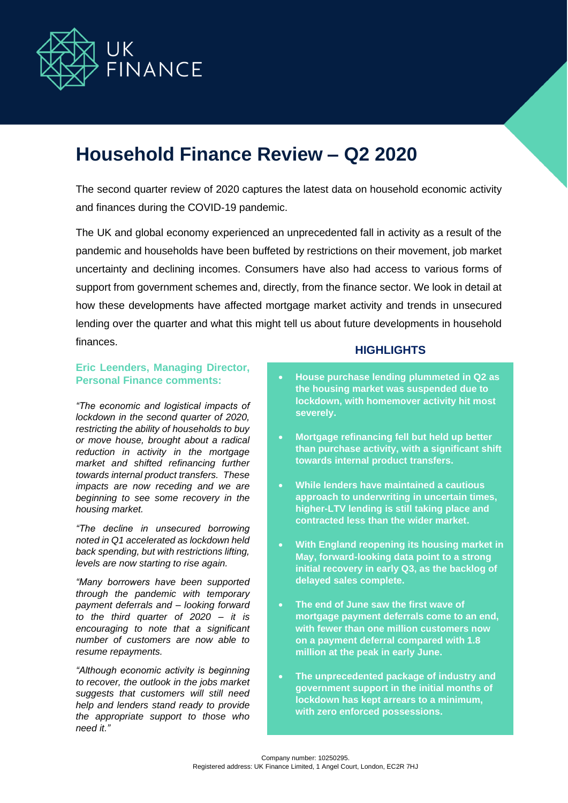

# **Household Finance Review – Q2 2020**

The second quarter review of 2020 captures the latest data on household economic activity and finances during the COVID-19 pandemic.

The UK and global economy experienced an unprecedented fall in activity as a result of the pandemic and households have been buffeted by restrictions on their movement, job market uncertainty and declining incomes. Consumers have also had access to various forms of support from government schemes and, directly, from the finance sector. We look in detail at how these developments have affected mortgage market activity and trends in unsecured lending over the quarter and what this might tell us about future developments in household finances.

### **Eric Leenders, Managing Director, Personal Finance comments:**

*"The economic and logistical impacts of lockdown in the second quarter of 2020, restricting the ability of households to buy or move house, brought about a radical reduction in activity in the mortgage market and shifted refinancing further towards internal product transfers. These impacts are now receding and we are beginning to see some recovery in the housing market.* 

*"The decline in unsecured borrowing noted in Q1 accelerated as lockdown held back spending, but with restrictions lifting, levels are now starting to rise again.*

*"Many borrowers have been supported through the pandemic with temporary payment deferrals and – looking forward to the third quarter of 2020 – it is encouraging to note that a significant number of customers are now able to resume repayments.* 

*"Although economic activity is beginning to recover, the outlook in the jobs market suggests that customers will still need help and lenders stand ready to provide the appropriate support to those who need it."*

# **HIGHLIGHTS**

- **House purchase lending plummeted in Q2 as the housing market was suspended due to lockdown, with homemover activity hit most severely.**
- **Mortgage refinancing fell but held up better than purchase activity, with a significant shift towards internal product transfers.**
- **While lenders have maintained a cautious approach to underwriting in uncertain times, higher-LTV lending is still taking place and contracted less than the wider market.**
- **With England reopening its housing market in May, forward-looking data point to a strong initial recovery in early Q3, as the backlog of delayed sales complete.**
- **The end of June saw the first wave of mortgage payment deferrals come to an end, with fewer than one million customers now on a payment deferral compared with 1.8 million at the peak in early June.**
- **The unprecedented package of industry and government support in the initial months of lockdown has kept arrears to a minimum, with zero enforced possessions.**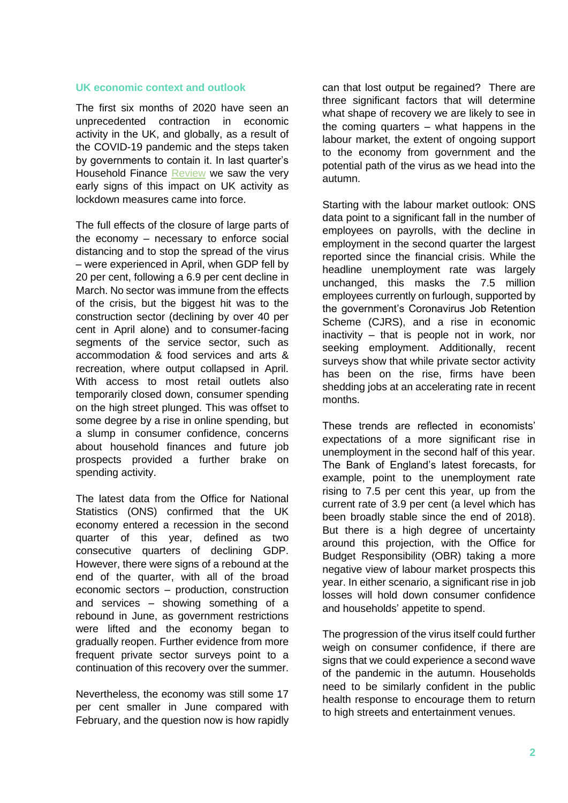# **UK economic context and outlook**

The first six months of 2020 have seen an unprecedented contraction in economic activity in the UK, and globally, as a result of the COVID-19 pandemic and the steps taken by governments to contain it. In last quarter's [Household Finance Review](https://www.ukfinance.org.uk/sites/default/files/uploads/Data%20(XLS%20and%20PDF)/Household-Finance-Review-2020-Q1-FINAL.pdf) we saw the very early signs of this impact on UK activity as lockdown measures came into force.

The full effects of the closure of large parts of the economy – necessary to enforce social distancing and to stop the spread of the virus – were experienced in April, when GDP fell by 20 per cent, following a 6.9 per cent decline in March. No sector was immune from the effects of the crisis, but the biggest hit was to the construction sector (declining by over 40 per cent in April alone) and to consumer-facing segments of the service sector, such as accommodation & food services and arts & recreation, where output collapsed in April. With access to most retail outlets also temporarily closed down, consumer spending on the high street plunged. This was offset to some degree by a rise in online spending, but a slump in consumer confidence, concerns about household finances and future job prospects provided a further brake on spending activity.

The latest data from the Office for National Statistics (ONS) confirmed that the UK economy entered a recession in the second quarter of this year, defined as two consecutive quarters of declining GDP. However, there were signs of a rebound at the end of the quarter, with all of the broad economic sectors – production, construction and services – showing something of a rebound in June, as government restrictions were lifted and the economy began to gradually reopen. Further evidence from more frequent private sector surveys point to a continuation of this recovery over the summer.

Nevertheless, the economy was still some 17 per cent smaller in June compared with February, and the question now is how rapidly can that lost output be regained? There are three significant factors that will determine what shape of recovery we are likely to see in the coming quarters – what happens in the labour market, the extent of ongoing support to the economy from government and the potential path of the virus as we head into the autumn.

Starting with the labour market outlook: ONS data point to a significant fall in the number of employees on payrolls, with the decline in employment in the second quarter the largest reported since the financial crisis. While the headline unemployment rate was largely unchanged, this masks the 7.5 million employees currently on furlough, supported by the government's Coronavirus Job Retention Scheme (CJRS), and a rise in economic inactivity – that is people not in work, nor seeking employment. Additionally, recent surveys show that while private sector activity has been on the rise, firms have been shedding jobs at an accelerating rate in recent months.

These trends are reflected in economists' expectations of a more significant rise in unemployment in the second half of this year. The Bank of England's latest forecasts, for example, point to the unemployment rate rising to 7.5 per cent this year, up from the current rate of 3.9 per cent (a level which has been broadly stable since the end of 2018). But there is a high degree of uncertainty around this projection, with the Office for Budget Responsibility (OBR) taking a more negative view of labour market prospects this year. In either scenario, a significant rise in job losses will hold down consumer confidence and households' appetite to spend.

The progression of the virus itself could further weigh on consumer confidence, if there are signs that we could experience a second wave of the pandemic in the autumn. Households need to be similarly confident in the public health response to encourage them to return to high streets and entertainment venues.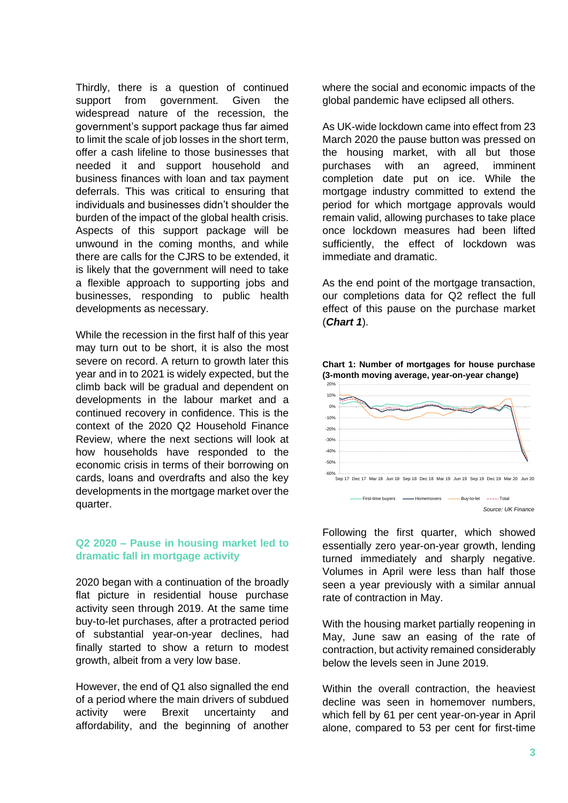Thirdly, there is a question of continued support from government. Given the widespread nature of the recession, the government's support package thus far aimed to limit the scale of job losses in the short term, offer a cash lifeline to those businesses that needed it and support household and business finances with loan and tax payment deferrals. This was critical to ensuring that individuals and businesses didn't shoulder the burden of the impact of the global health crisis. Aspects of this support package will be unwound in the coming months, and while there are calls for the CJRS to be extended, it is likely that the government will need to take a flexible approach to supporting jobs and businesses, responding to public health developments as necessary.

While the recession in the first half of this year may turn out to be short, it is also the most severe on record. A return to growth later this year and in to 2021 is widely expected, but the climb back will be gradual and dependent on developments in the labour market and a continued recovery in confidence. This is the context of the 2020 Q2 Household Finance Review, where the next sections will look at how households have responded to the economic crisis in terms of their borrowing on cards, loans and overdrafts and also the key developments in the mortgage market over the quarter.

# **Q2 2020 – Pause in housing market led to dramatic fall in mortgage activity**

2020 began with a continuation of the broadly flat picture in residential house purchase activity seen through 2019. At the same time buy-to-let purchases, after a protracted period of substantial year-on-year declines, had finally started to show a return to modest growth, albeit from a very low base.

However, the end of Q1 also signalled the end of a period where the main drivers of subdued activity were Brexit uncertainty and affordability, and the beginning of another where the social and economic impacts of the global pandemic have eclipsed all others.

As UK-wide lockdown came into effect from 23 March 2020 the pause button was pressed on the housing market, with all but those purchases with an agreed, imminent completion date put on ice. While the mortgage industry committed to extend the period for which mortgage approvals would remain valid, allowing purchases to take place once lockdown measures had been lifted sufficiently, the effect of lockdown was immediate and dramatic.

As the end point of the mortgage transaction, our completions data for Q2 reflect the full effect of this pause on the purchase market (*Chart 1*).



**Chart 1: Number of mortgages for house purchase (3-month moving average, year-on-year change)**

Following the first quarter, which showed essentially zero year-on-year growth, lending turned immediately and sharply negative. Volumes in April were less than half those seen a year previously with a similar annual rate of contraction in May.

With the housing market partially reopening in May, June saw an easing of the rate of contraction, but activity remained considerably below the levels seen in June 2019.

Within the overall contraction, the heaviest decline was seen in homemover numbers, which fell by 61 per cent year-on-year in April alone, compared to 53 per cent for first-time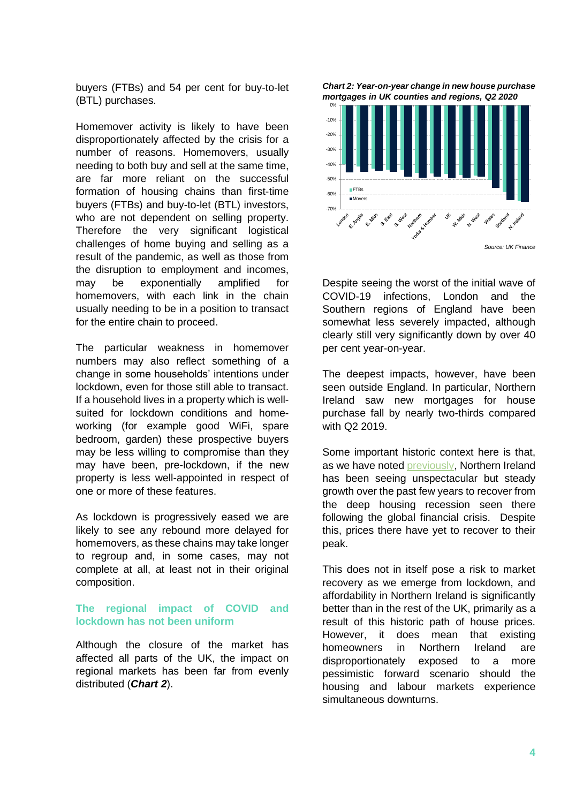buyers (FTBs) and 54 per cent for buy-to-let (BTL) purchases.

Homemover activity is likely to have been disproportionately affected by the crisis for a number of reasons. Homemovers, usually needing to both buy and sell at the same time, are far more reliant on the successful formation of housing chains than first-time buyers (FTBs) and buy-to-let (BTL) investors, who are not dependent on selling property. Therefore the very significant logistical challenges of home buying and selling as a result of the pandemic, as well as those from the disruption to employment and incomes, may be exponentially amplified for homemovers, with each link in the chain usually needing to be in a position to transact for the entire chain to proceed.

The particular weakness in homemover numbers may also reflect something of a change in some households' intentions under lockdown, even for those still able to transact. If a household lives in a property which is wellsuited for lockdown conditions and homeworking (for example good WiFi, spare bedroom, garden) these prospective buyers may be less willing to compromise than they may have been, pre-lockdown, if the new property is less well-appointed in respect of one or more of these features.

As lockdown is progressively eased we are likely to see any rebound more delayed for homemovers, as these chains may take longer to regroup and, in some cases, may not complete at all, at least not in their original composition.

# **The regional impact of COVID and lockdown has not been uniform**

Although the closure of the market has affected all parts of the UK, the impact on regional markets has been far from evenly distributed (*Chart 2*).





Despite seeing the worst of the initial wave of COVID-19 infections, London and the Southern regions of England have been somewhat less severely impacted, although clearly still very significantly down by over 40 per cent year-on-year.

The deepest impacts, however, have been seen outside England. In particular, Northern Ireland saw new mortgages for house purchase fall by nearly two-thirds compared with Q2 2019.

Some important historic context here is that, as we have noted previously. Northern Ireland has been seeing unspectacular but steady growth over the past few years to recover from the deep housing recession seen there following the global financial crisis. Despite this, prices there have yet to recover to their peak.

This does not in itself pose a risk to market recovery as we emerge from lockdown, and affordability in Northern Ireland is significantly better than in the rest of the UK, primarily as a result of this historic path of house prices. However, it does mean that existing homeowners in Northern Ireland are disproportionately exposed to a more pessimistic forward scenario should the housing and labour markets experience simultaneous downturns.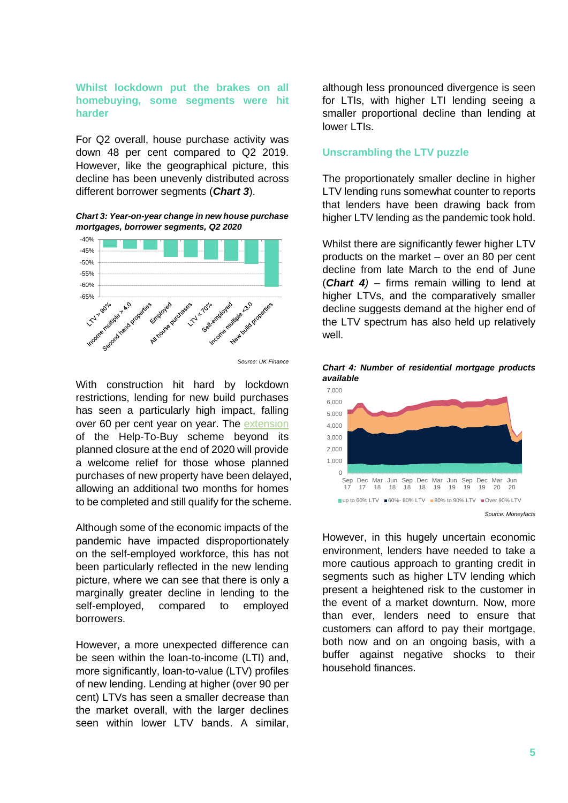**Whilst lockdown put the brakes on all homebuying, some segments were hit harder**

For Q2 overall, house purchase activity was down 48 per cent compared to Q2 2019. However, like the geographical picture, this decline has been unevenly distributed across different borrower segments (*Chart 3*).

*Chart 3: Year-on-year change in new house purchase mortgages, borrower segments, Q2 2020*



With construction hit hard by lockdown restrictions, lending for new build purchases has seen a particularly high impact, falling over 60 per cent year on year. The [extension](https://www.gov.uk/government/news/help-to-buy-scheme-extended) of the Help-To-Buy scheme beyond its planned closure at the end of 2020 will provide a welcome relief for those whose planned purchases of new property have been delayed, allowing an additional two months for homes to be completed and still qualify for the scheme.

Although some of the economic impacts of the pandemic have impacted disproportionately on the self-employed workforce, this has not been particularly reflected in the new lending picture, where we can see that there is only a marginally greater decline in lending to the self-employed, compared to employed borrowers.

However, a more unexpected difference can be seen within the loan-to-income (LTI) and, more significantly, loan-to-value (LTV) profiles of new lending. Lending at higher (over 90 per cent) LTVs has seen a smaller decrease than the market overall, with the larger declines seen within lower LTV bands. A similar,

although less pronounced divergence is seen for LTIs, with higher LTI lending seeing a smaller proportional decline than lending at lower LTIs.

### **Unscrambling the LTV puzzle**

The proportionately smaller decline in higher LTV lending runs somewhat counter to reports that lenders have been drawing back from higher LTV lending as the pandemic took hold.

Whilst there are significantly fewer higher LTV products on the market – over an 80 per cent decline from late March to the end of June (*Chart 4)* – firms remain willing to lend at higher LTVs, and the comparatively smaller decline suggests demand at the higher end of the LTV spectrum has also held up relatively well.



*Chart 4: Number of residential mortgage products available*

However, in this hugely uncertain economic environment, lenders have needed to take a more cautious approach to granting credit in segments such as higher LTV lending which present a heightened risk to the customer in the event of a market downturn. Now, more than ever, lenders need to ensure that customers can afford to pay their mortgage, both now and on an ongoing basis, with a buffer against negative shocks to their household finances.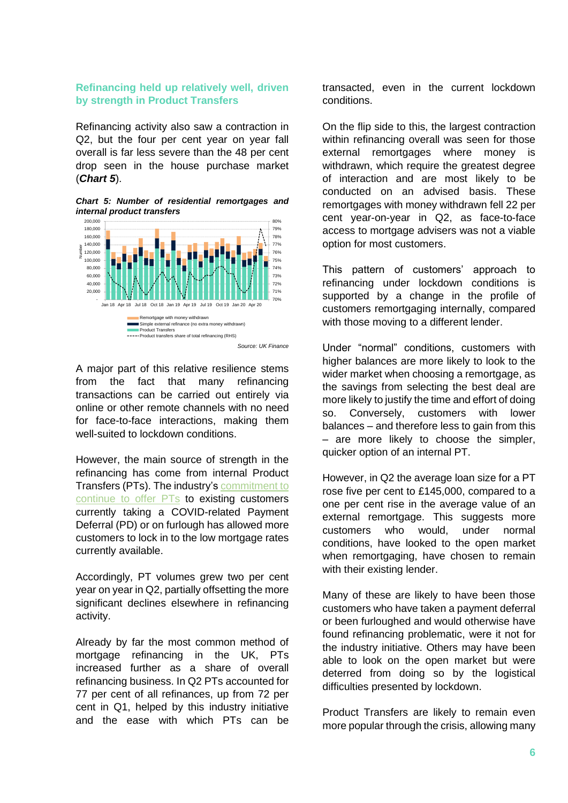# **Refinancing held up relatively well, driven by strength in Product Transfers**

Refinancing activity also saw a contraction in Q2, but the four per cent year on year fall overall is far less severe than the 48 per cent drop seen in the house purchase market (*Chart 5*).

*Chart 5: Number of residential remortgages and internal product transfers*



A major part of this relative resilience stems from the fact that many refinancing transactions can be carried out entirely via online or other remote channels with no need for face-to-face interactions, making them well-suited to lockdown conditions.

However, the main source of strength in the refinancing has come from internal Product Transfers (PTs). The industry's [commitment to](https://www.ukfinance.org.uk/news-and-insight/blogs/product-transfers-helping-customers-impacted-covid-19-switch-deal)  [continue to offer PTs](https://www.ukfinance.org.uk/news-and-insight/blogs/product-transfers-helping-customers-impacted-covid-19-switch-deal) to existing customers currently taking a COVID-related Payment Deferral (PD) or on furlough has allowed more customers to lock in to the low mortgage rates currently available.

Accordingly, PT volumes grew two per cent year on year in Q2, partially offsetting the more significant declines elsewhere in refinancing activity.

Already by far the most common method of mortgage refinancing in the UK, PTs increased further as a share of overall refinancing business. In Q2 PTs accounted for 77 per cent of all refinances, up from 72 per cent in Q1, helped by this industry initiative and the ease with which PTs can be

transacted, even in the current lockdown conditions.

On the flip side to this, the largest contraction within refinancing overall was seen for those external remortgages where money is withdrawn, which require the greatest degree of interaction and are most likely to be conducted on an advised basis. These remortgages with money withdrawn fell 22 per cent year-on-year in Q2, as face-to-face access to mortgage advisers was not a viable option for most customers.

This pattern of customers' approach to refinancing under lockdown conditions is supported by a change in the profile of customers remortgaging internally, compared with those moving to a different lender.

Under "normal" conditions, customers with higher balances are more likely to look to the wider market when choosing a remortgage, as the savings from selecting the best deal are more likely to justify the time and effort of doing so. Conversely, customers with lower balances – and therefore less to gain from this – are more likely to choose the simpler, quicker option of an internal PT.

However, in Q2 the average loan size for a PT rose five per cent to £145,000, compared to a one per cent rise in the average value of an external remortgage. This suggests more customers who would, under normal conditions, have looked to the open market when remortgaging, have chosen to remain with their existing lender.

Many of these are likely to have been those customers who have taken a payment deferral or been furloughed and would otherwise have found refinancing problematic, were it not for the industry initiative. Others may have been able to look on the open market but were deterred from doing so by the logistical difficulties presented by lockdown.

Product Transfers are likely to remain even more popular through the crisis, allowing many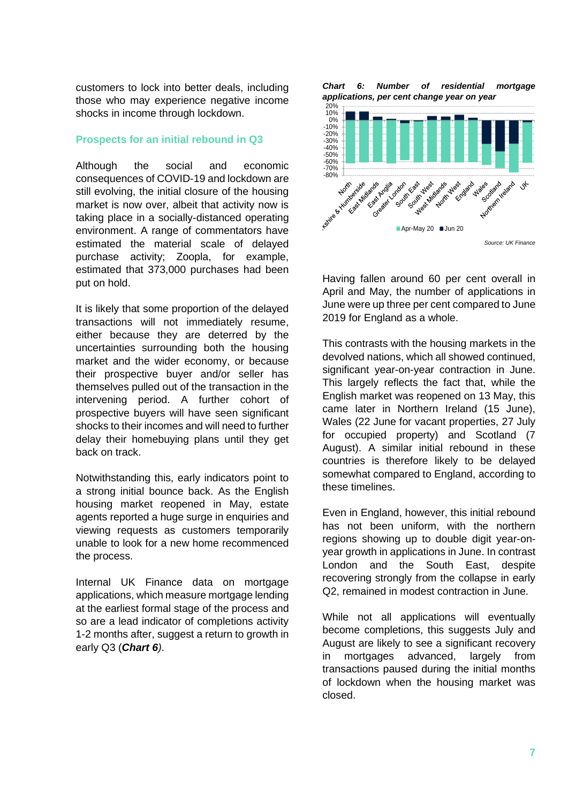customers to lock into better deals, including those who may experience negative income shocks in income through lockdown.

# **Prospects for an initial rebound in Q3**

Although the social and economic consequences of COVID-19 and lockdown are still evolving, the initial closure of the housing market is now over, albeit that activity now is taking place in a socially-distanced operating environment. A range of commentators have estimated the material scale of delayed purchase activity; Zoopla, for example, estimated that [373,000](https://www.zoopla.co.uk/press/releases/373000-property-purchases-worth-82bn-stalled-due-to-covid19-finds-zoopla-uk-cities-house-price-index/) purchases had been put on hold.

It is likely that some proportion of the delayed transactions will not immediately resume, either because they are deterred by the uncertainties surrounding both the housing market and the wider economy, or because their prospective buyer and/or seller has themselves pulled out of the transaction in the intervening period. A further cohort of prospective buyers will have seen significant shocks to their incomes and will need to further delay their homebuying plans until they get back on track.

Notwithstanding this, early indicators point to a strong initial bounce back. As the English housing market reopened in May, estate agents reported a huge surge in enquiries and viewing requests as customers temporarily unable to look for a new home recommenced the process.

Internal UK Finance data on mortgage applications, which measure mortgage lending at the earliest formal stage of the process and so are a lead indicator of completions activity 1-2 months after, suggest a return to growth in early Q3 (*Chart 6)*.

*Chart 6: Number of residential mortgage applications, per cent change year on year*



Having fallen around 60 per cent overall in April and May, the number of applications in June were up three per cent compared to June 2019 for England as a whole.

This contrasts with the housing markets in the devolved nations, which all showed continued, significant year-on-year contraction in June. This largely reflects the fact that, while the English market was reopened on 13 May, this came later in Northern Ireland (15 June), Wales (22 June for vacant properties, 27 July for occupied property) and Scotland (7 August). A similar initial rebound in these countries is therefore likely to be delayed somewhat compared to England, according to these timelines.

Even in England, however, this initial rebound has not been uniform, with the northern regions showing up to double digit year-onyear growth in applications in June. In contrast London and the South East, despite recovering strongly from the collapse in early Q2, remained in modest contraction in June.

While not all applications will eventually become completions, this suggests July and August are likely to see a significant recovery in mortgages advanced, largely from transactions paused during the initial months of lockdown when the housing market was closed.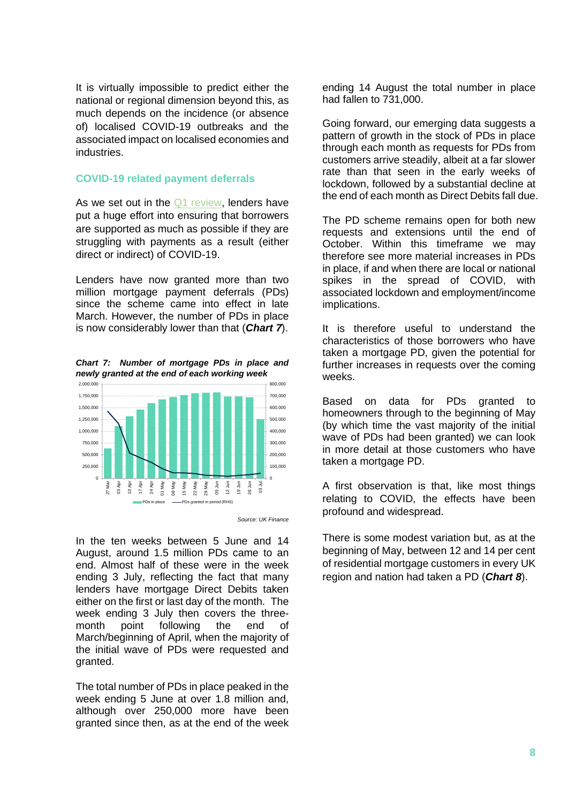It is virtually impossible to predict either the national or regional dimension beyond this, as much depends on the incidence (or absence of) localised COVID-19 outbreaks and the associated impact on localised economies and industries.

### **COVID-19 related payment deferrals**

As we set out in the  $Q1$  review, lenders have put a huge effort into ensuring that borrowers are supported as much as possible if they are struggling with payments as a result (either direct or indirect) of COVID-19.

Lenders have now granted more than two million mortgage payment deferrals (PDs) since the scheme came into effect in late March. However, the number of PDs in place is now considerably lower than that (*Chart 7*).

*Chart 7: Number of mortgage PDs in place and newly granted at the end of each working week*



In the ten weeks between 5 June and 14 August, around 1.5 million PDs came to an end. Almost half of these were in the week ending 3 July, reflecting the fact that many lenders have mortgage Direct Debits taken either on the first or last day of the month. The week ending 3 July then covers the threemonth point following the end of March/beginning of April, when the majority of the initial wave of PDs were requested and granted.

The total number of PDs in place peaked in the week ending 5 June at over 1.8 million and, although over 250,000 more have been granted since then, as at the end of the week

ending 14 August the total number in place had fallen to 731,000.

Going forward, our emerging data suggests a pattern of growth in the stock of PDs in place through each month as requests for PDs from customers arrive steadily, albeit at a far slower rate than that seen in the early weeks of lockdown, followed by a substantial decline at the end of each month as Direct Debits fall due.

The PD scheme remains open for both new requests and extensions until the end of October. Within this timeframe we may therefore see more material increases in PDs in place, if and when there are local or national spikes in the spread of COVID, with associated lockdown and employment/income implications.

It is therefore useful to understand the characteristics of those borrowers who have taken a mortgage PD, given the potential for further increases in requests over the coming weeks.

Based on data for PDs granted to homeowners through to the beginning of May (by which time the vast majority of the initial wave of PDs had been granted) we can look in more detail at those customers who have taken a mortgage PD.

A first observation is that, like most things relating to COVID, the effects have been profound and widespread.

There is some modest variation but, as at the beginning of May, between 12 and 14 per cent of residential mortgage customers in every UK region and nation had taken a PD (*Chart 8*).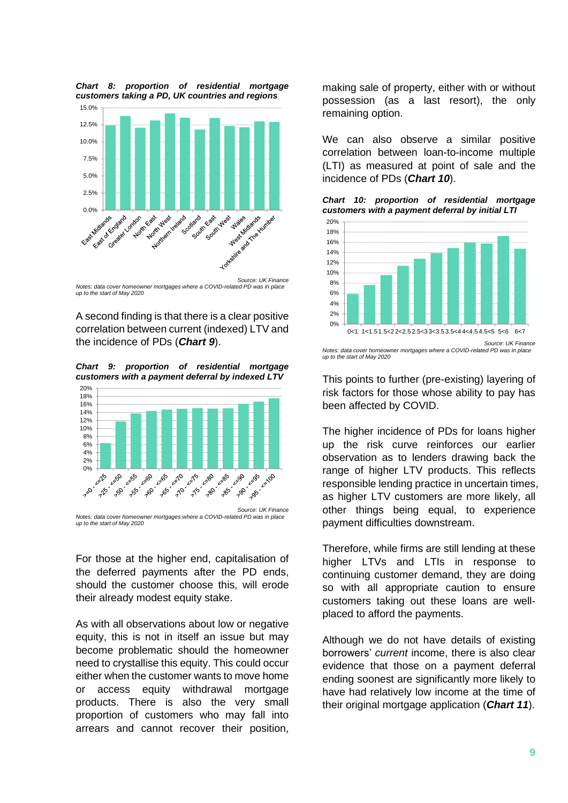



*Notes: data cover homeowner mortgages where a COVID-related PD was in place up to the start of May 2020* 

A second finding is that there is a clear positive correlation between current (indexed) LTV and the incidence of PDs (*Chart 9*).

*Chart 9: proportion of residential mortgage customers with a payment deferral by indexed LTV*



For those at the higher end, capitalisation of the deferred payments after the PD ends, should the customer choose this, will erode their already modest equity stake.

As with all observations about low or negative equity, this is not in itself an issue but may become problematic should the homeowner need to crystallise this equity. This could occur either when the customer wants to move home or access equity withdrawal mortgage products. There is also the very small proportion of customers who may fall into arrears and cannot recover their position,

making sale of property, either with or without possession (as a last resort), the only remaining option.

We can also observe a similar positive correlation between loan-to-income multiple (LTI) as measured at point of sale and the incidence of PDs (*Chart 10*).

*Chart 10: proportion of residential mortgage customers with a payment deferral by initial LTI*



*Notes: data cover homeowner mortgages where a COVID-related PD was in place up to the start of May 2020* 

This points to further (pre-existing) layering of risk factors for those whose ability to pay has been affected by COVID.

The higher incidence of PDs for loans higher up the risk curve reinforces our earlier observation as to lenders drawing back the range of higher LTV products. This reflects responsible lending practice in uncertain times, as higher LTV customers are more likely, all other things being equal, to experience payment difficulties downstream.

Therefore, while firms are still lending at these higher LTVs and LTIs in response to continuing customer demand, they are doing so with all appropriate caution to ensure customers taking out these loans are wellplaced to afford the payments.

Although we do not have details of existing borrowers' *current* income, there is also clear evidence that those on a payment deferral ending soonest are significantly more likely to have had relatively low income at the time of their original mortgage application (*Chart 11*).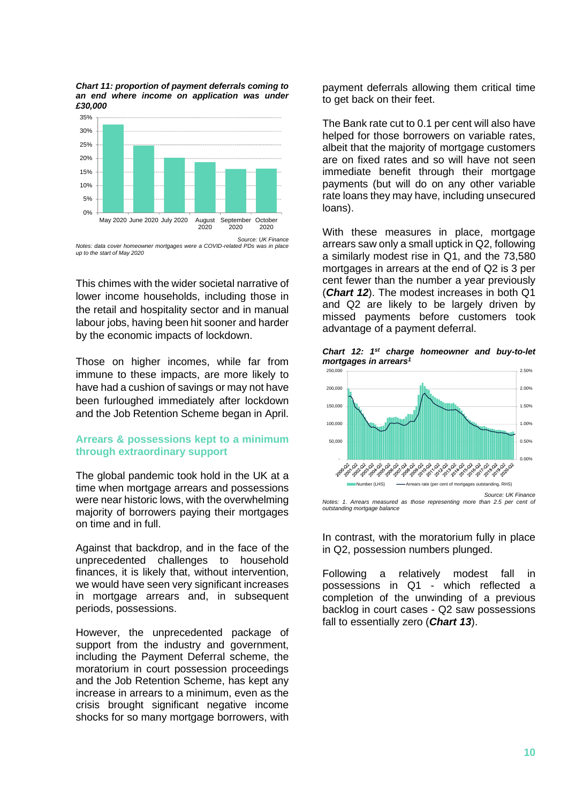#### *Chart 11: proportion of payment deferrals coming to an end where income on application was under £30,000*



*Notes: data cover homeowner mortgages were a COVID-related PDs was in place up to the start of May 2020*

This chimes with the wider societal narrative of lower income households, including those in the retail and hospitality sector and in manual labour jobs, having been hit sooner and harder by the economic impacts of lockdown.

Those on higher incomes, while far from immune to these impacts, are more likely to have had a cushion of savings or may not have been furloughed immediately after lockdown and the Job Retention Scheme began in April.

# **Arrears & possessions kept to a minimum through extraordinary support**

The global pandemic took hold in the UK at a time when mortgage arrears and possessions were near historic lows, with the overwhelming majority of borrowers paying their mortgages on time and in full.

Against that backdrop, and in the face of the unprecedented challenges to household finances, it is likely that, without intervention, we would have seen very significant increases in mortgage arrears and, in subsequent periods, possessions.

However, the unprecedented package of support from the industry and government, including the Payment Deferral scheme, the moratorium in court possession proceedings and the Job Retention Scheme, has kept any increase in arrears to a minimum, even as the crisis brought significant negative income shocks for so many mortgage borrowers, with

payment deferrals allowing them critical time to get back on their feet.

The Bank rate cut to 0.1 per cent will also have helped for those borrowers on variable rates, albeit that the majority of mortgage customers are on fixed rates and so will have not seen immediate benefit through their mortgage payments (but will do on any other variable rate loans they may have, including unsecured loans).

With these measures in place, mortgage arrears saw only a small uptick in Q2, following a similarly modest rise in Q1, and the 73,580 mortgages in arrears at the end of Q2 is 3 per cent fewer than the number a year previously (*Chart 12*). The modest increases in both Q1 and Q2 are likely to be largely driven by missed payments before customers took advantage of a payment deferral.

*Chart 12: 1st charge homeowner and buy-to-let mortgages in arrears<sup>1</sup>*



*Notes: 1. Arrears measured as those representing more than 2.5 per cent of outstanding mortgage balance*

In contrast, with the moratorium fully in place in Q2, possession numbers plunged.

Following a relatively modest fall in possessions in Q1 - which reflected a completion of the unwinding of a previous backlog in court cases - Q2 saw possessions fall to essentially zero (*Chart 13*).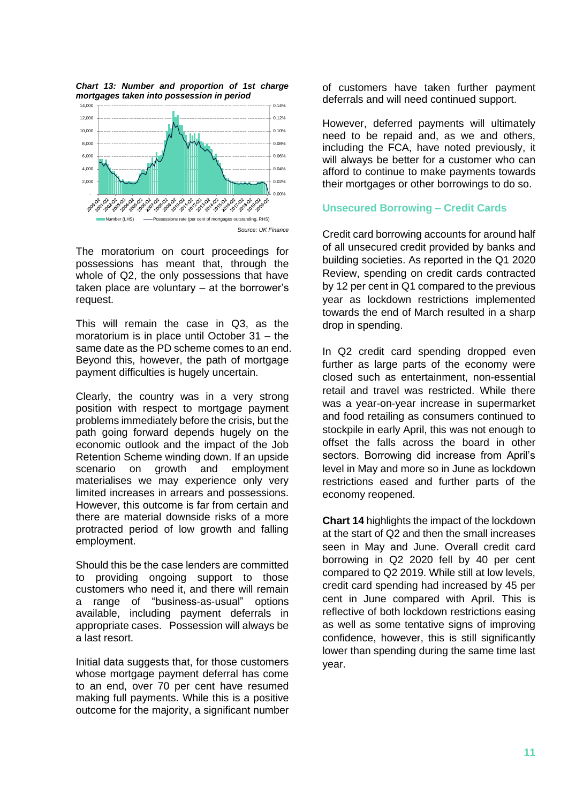



The moratorium on court proceedings for possessions has meant that, through the whole of Q2, the only possessions that have taken place are voluntary – at the borrower's request.

This will remain the case in Q3, as the moratorium is in place until October 31 – the same date as the PD scheme comes to an end. Beyond this, however, the path of mortgage payment difficulties is hugely uncertain.

Clearly, the country was in a very strong position with respect to mortgage payment problems immediately before the crisis, but the path going forward depends hugely on the economic outlook and the impact of the Job Retention Scheme winding down. If an upside scenario on growth and employment materialises we may experience only very limited increases in arrears and possessions. However, this outcome is far from certain and there are material downside risks of a more protracted period of low growth and falling employment.

Should this be the case lenders are committed to providing ongoing support to those customers who need it, and there will remain a range of "business-as-usual" options available, including payment deferrals in appropriate cases. Possession will always be a last resort.

Initial data suggests that, for those customers whose mortgage payment deferral has come to an end, over 70 per cent have resumed making full payments. While this is a positive outcome for the majority, a significant number

of customers have taken further payment deferrals and will need continued support.

However, deferred payments will ultimately need to be repaid and, as we and others, including the FCA, have noted previously, it will always be better for a customer who can afford to continue to make payments towards their mortgages or other borrowings to do so.

# **Unsecured Borrowing – Credit Cards**

Credit card borrowing accounts for around half of all unsecured credit provided by banks and building societies. As reported in the [Q1 2020](https://www.ukfinance.org.uk/sites/default/files/uploads/Data%20(XLS%20and%20PDF)/Household-Finance-Review-2019-Q4-FINAL.pdf)  [Review,](https://www.ukfinance.org.uk/sites/default/files/uploads/Data%20(XLS%20and%20PDF)/Household-Finance-Review-2019-Q4-FINAL.pdf) spending on credit cards contracted by 12 per cent in Q1 compared to the previous year as lockdown restrictions implemented towards the end of March resulted in a sharp drop in spending.

In Q2 credit card spending dropped even further as large parts of the economy were closed such as entertainment, non-essential retail and travel was restricted. While there was a year-on-year increase in supermarket and food retailing as consumers continued to stockpile in early April, this was not enough to offset the falls across the board in other sectors. Borrowing did increase from April's level in May and more so in June as lockdown restrictions eased and further parts of the economy reopened.

**Chart 14** highlights the impact of the lockdown at the start of Q2 and then the small increases seen in May and June. Overall credit card borrowing in Q2 2020 fell by 40 per cent compared to Q2 2019. While still at low levels, credit card spending had increased by 45 per cent in June compared with April. This is reflective of both lockdown restrictions easing as well as some tentative signs of improving confidence, however, this is still significantly lower than spending during the same time last year.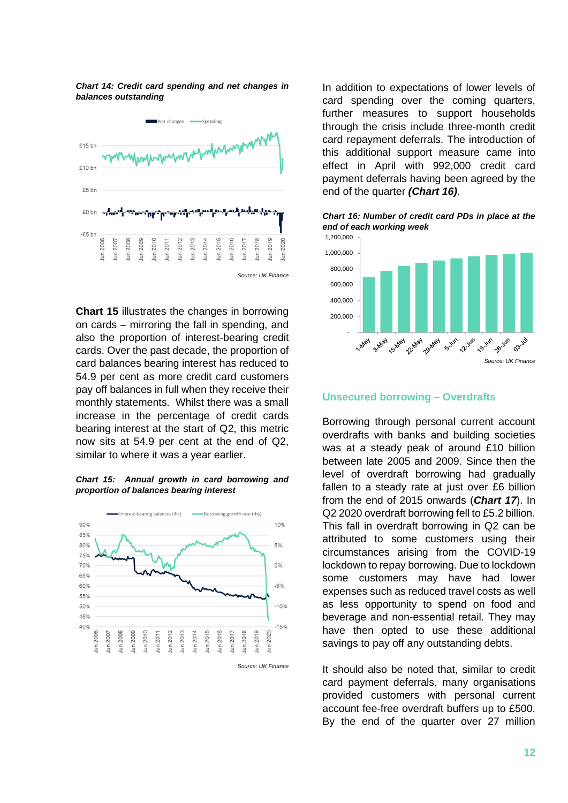#### *Chart 14: Credit card spending and net changes in balances outstanding*



**Chart 15** illustrates the changes in borrowing on cards – mirroring the fall in spending, and also the proportion of interest-bearing credit cards. Over the past decade, the proportion of card balances bearing interest has reduced to 54.9 per cent as more credit card customers pay off balances in full when they receive their monthly statements. Whilst there was a small increase in the percentage of credit cards bearing interest at the start of Q2, this metric now sits at 54.9 per cent at the end of Q2, similar to where it was a year earlier.

*Chart 15: Annual growth in card borrowing and proportion of balances bearing interest*



*Source: UK Finance*

In addition to expectations of lower levels of card spending over the coming quarters, further measures to support households through the crisis include three-month credit card repayment deferrals. The introduction of this additional support measure came into effect in April with 992,000 credit card payment deferrals having been agreed by the end of the quarter *(Chart 16)*.

*Chart 16: Number of credit card PDs in place at the end of each working week*



### **Unsecured borrowing – Overdrafts**

Borrowing through personal current account overdrafts with banks and building societies was at a steady peak of around £10 billion between late 2005 and 2009. Since then the level of overdraft borrowing had gradually fallen to a steady rate at just over £6 billion from the end of 2015 onwards (*Chart 17*). In Q2 2020 overdraft borrowing fell to £5.2 billion. This fall in overdraft borrowing in Q2 can be attributed to some customers using their circumstances arising from the COVID-19 lockdown to repay borrowing. Due to lockdown some customers may have had lower expenses such as reduced travel costs as well as less opportunity to spend on food and beverage and non-essential retail. They may have then opted to use these additional savings to pay off any outstanding debts.

It should also be noted that, similar to credit card payment deferrals, many organisations provided customers with personal current account fee-free overdraft buffers up to £500. By the end of the quarter over 27 million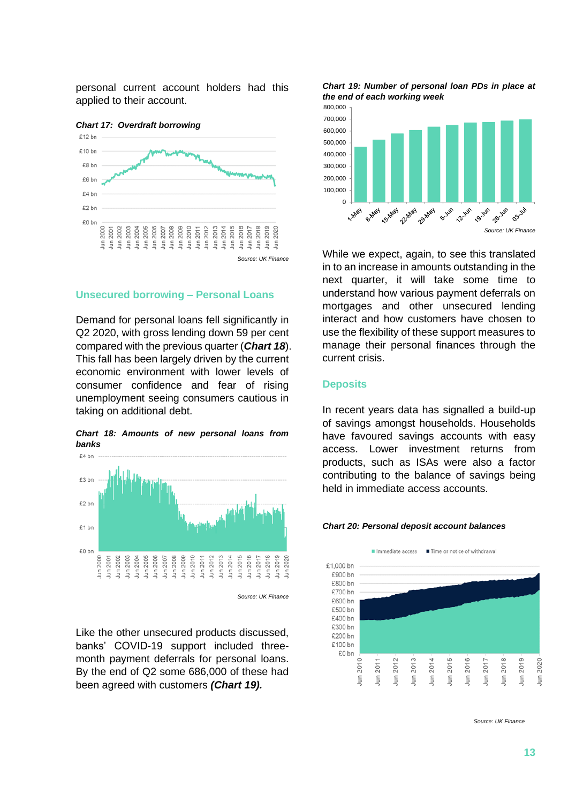personal current account holders had this applied to their account.



### **Unsecured borrowing – Personal Loans**

Demand for personal loans fell significantly in Q2 2020, with gross lending down 59 per cent compared with the previous quarter (*Chart 18*). This fall has been largely driven by the current economic environment with lower levels of consumer confidence and fear of rising unemployment seeing consumers cautious in taking on additional debt.

*Chart 18: Amounts of new personal loans from banks*



Like the other unsecured products discussed, banks' COVID-19 support included threemonth payment deferrals for personal loans. By the end of Q2 some 686,000 of these had

been agreed with customers *(Chart 19).*

*Chart 19: Number of personal loan PDs in place at the end of each working week*



While we expect, again, to see this translated in to an increase in amounts outstanding in the next quarter, it will take some time to understand how various payment deferrals on mortgages and other unsecured lending interact and how customers have chosen to use the flexibility of these support measures to manage their personal finances through the current crisis.

### **Deposits**

In recent years data has signalled a build-up of savings amongst households. Households have favoured savings accounts with easy access. Lower investment returns from products, such as ISAs were also a factor contributing to the balance of savings being held in immediate access accounts.



#### *Chart 20: Personal deposit account balances*

 *Source: UK Finance*